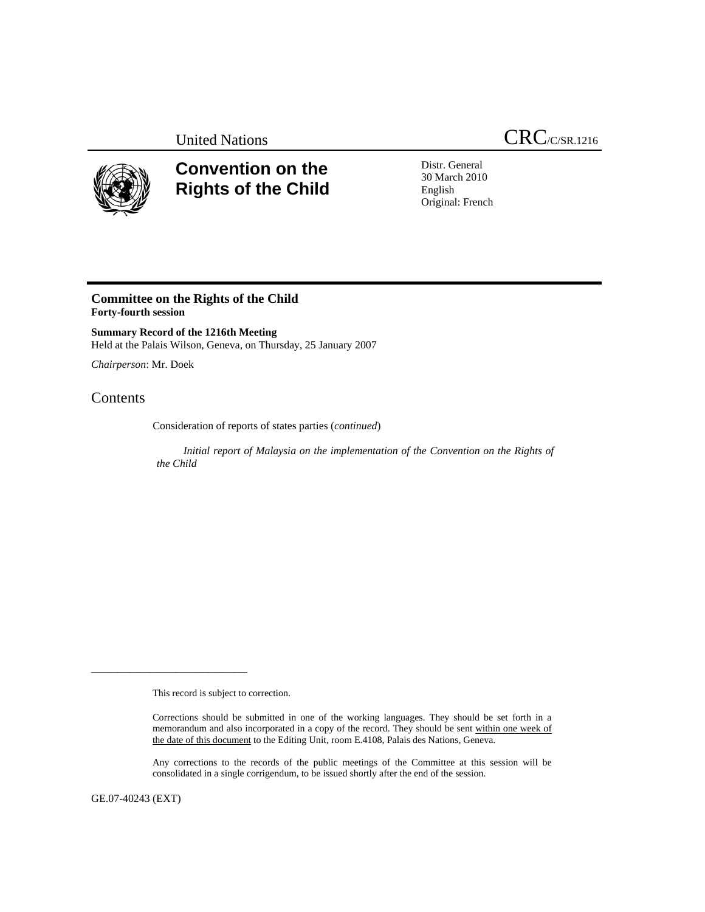

## **Convention on the Rights of the Child**

Distr. General 30 March 2010 English Original: French

## **Committee on the Rights of the Child Forty-fourth session**

**Summary Record of the 1216th Meeting**  Held at the Palais Wilson, Geneva, on Thursday, 25 January 2007

*Chairperson*: Mr. Doek

## Contents

Consideration of reports of states parties (*continued*)

 *Initial report of Malaysia on the implementation of the Convention on the Rights of the Child* 

This record is subject to correction.

\_\_\_\_\_\_\_\_\_\_\_\_\_\_\_\_\_\_\_\_\_\_\_\_

Any corrections to the records of the public meetings of the Committee at this session will be consolidated in a single corrigendum, to be issued shortly after the end of the session.

GE.07-40243 (EXT)

Corrections should be submitted in one of the working languages. They should be set forth in a memorandum and also incorporated in a copy of the record. They should be sent within one week of the date of this document to the Editing Unit, room E.4108, Palais des Nations, Geneva.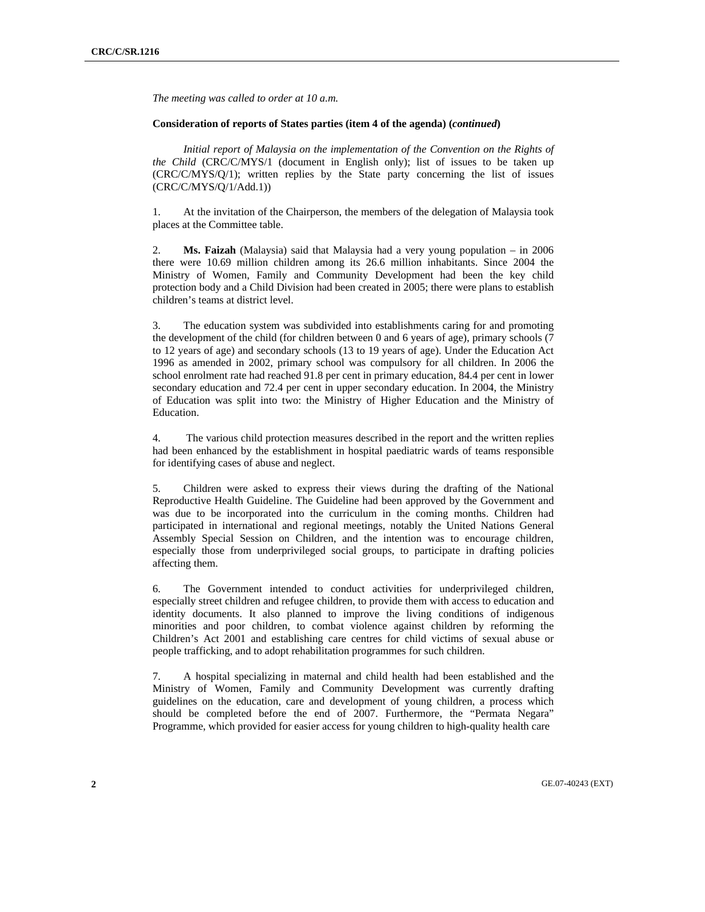*The meeting was called to order at 10 a.m.* 

## **Consideration of reports of States parties (item 4 of the agenda) (***continued***)**

*Initial report of Malaysia on the implementation of the Convention on the Rights of the Child* (CRC/C/MYS/1 (document in English only); list of issues to be taken up (CRC/C/MYS/Q/1); written replies by the State party concerning the list of issues (CRC/C/MYS/Q/1/Add.1))

1. At the invitation of the Chairperson, the members of the delegation of Malaysia took places at the Committee table.

2. **Ms. Faizah** (Malaysia) said that Malaysia had a very young population – in 2006 there were 10.69 million children among its 26.6 million inhabitants. Since 2004 the Ministry of Women, Family and Community Development had been the key child protection body and a Child Division had been created in 2005; there were plans to establish children's teams at district level.

3. The education system was subdivided into establishments caring for and promoting the development of the child (for children between 0 and 6 years of age), primary schools (7 to 12 years of age) and secondary schools (13 to 19 years of age). Under the Education Act 1996 as amended in 2002, primary school was compulsory for all children. In 2006 the school enrolment rate had reached 91.8 per cent in primary education, 84.4 per cent in lower secondary education and 72.4 per cent in upper secondary education. In 2004, the Ministry of Education was split into two: the Ministry of Higher Education and the Ministry of Education.

4. The various child protection measures described in the report and the written replies had been enhanced by the establishment in hospital paediatric wards of teams responsible for identifying cases of abuse and neglect.

5. Children were asked to express their views during the drafting of the National Reproductive Health Guideline. The Guideline had been approved by the Government and was due to be incorporated into the curriculum in the coming months. Children had participated in international and regional meetings, notably the United Nations General Assembly Special Session on Children, and the intention was to encourage children, especially those from underprivileged social groups, to participate in drafting policies affecting them.

6. The Government intended to conduct activities for underprivileged children, especially street children and refugee children, to provide them with access to education and identity documents. It also planned to improve the living conditions of indigenous minorities and poor children, to combat violence against children by reforming the Children's Act 2001 and establishing care centres for child victims of sexual abuse or people trafficking, and to adopt rehabilitation programmes for such children.

7. A hospital specializing in maternal and child health had been established and the Ministry of Women, Family and Community Development was currently drafting guidelines on the education, care and development of young children, a process which should be completed before the end of 2007. Furthermore, the "Permata Negara" Programme, which provided for easier access for young children to high-quality health care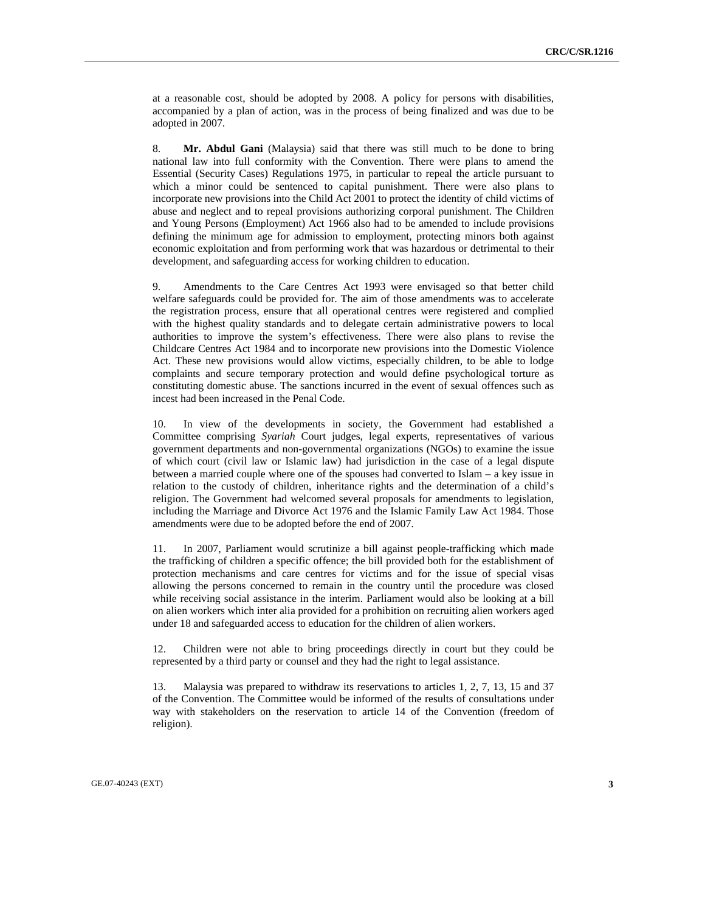at a reasonable cost, should be adopted by 2008. A policy for persons with disabilities, accompanied by a plan of action, was in the process of being finalized and was due to be adopted in 2007.

8. **Mr. Abdul Gani** (Malaysia) said that there was still much to be done to bring national law into full conformity with the Convention. There were plans to amend the Essential (Security Cases) Regulations 1975, in particular to repeal the article pursuant to which a minor could be sentenced to capital punishment. There were also plans to incorporate new provisions into the Child Act 2001 to protect the identity of child victims of abuse and neglect and to repeal provisions authorizing corporal punishment. The Children and Young Persons (Employment) Act 1966 also had to be amended to include provisions defining the minimum age for admission to employment, protecting minors both against economic exploitation and from performing work that was hazardous or detrimental to their development, and safeguarding access for working children to education.

9. Amendments to the Care Centres Act 1993 were envisaged so that better child welfare safeguards could be provided for. The aim of those amendments was to accelerate the registration process, ensure that all operational centres were registered and complied with the highest quality standards and to delegate certain administrative powers to local authorities to improve the system's effectiveness. There were also plans to revise the Childcare Centres Act 1984 and to incorporate new provisions into the Domestic Violence Act. These new provisions would allow victims, especially children, to be able to lodge complaints and secure temporary protection and would define psychological torture as constituting domestic abuse. The sanctions incurred in the event of sexual offences such as incest had been increased in the Penal Code.

10. In view of the developments in society, the Government had established a Committee comprising *Syariah* Court judges, legal experts, representatives of various government departments and non-governmental organizations (NGOs) to examine the issue of which court (civil law or Islamic law) had jurisdiction in the case of a legal dispute between a married couple where one of the spouses had converted to Islam – a key issue in relation to the custody of children, inheritance rights and the determination of a child's religion. The Government had welcomed several proposals for amendments to legislation, including the Marriage and Divorce Act 1976 and the Islamic Family Law Act 1984. Those amendments were due to be adopted before the end of 2007.

11. In 2007, Parliament would scrutinize a bill against people-trafficking which made the trafficking of children a specific offence; the bill provided both for the establishment of protection mechanisms and care centres for victims and for the issue of special visas allowing the persons concerned to remain in the country until the procedure was closed while receiving social assistance in the interim. Parliament would also be looking at a bill on alien workers which inter alia provided for a prohibition on recruiting alien workers aged under 18 and safeguarded access to education for the children of alien workers.

12. Children were not able to bring proceedings directly in court but they could be represented by a third party or counsel and they had the right to legal assistance.

13. Malaysia was prepared to withdraw its reservations to articles 1, 2, 7, 13, 15 and 37 of the Convention. The Committee would be informed of the results of consultations under way with stakeholders on the reservation to article 14 of the Convention (freedom of religion).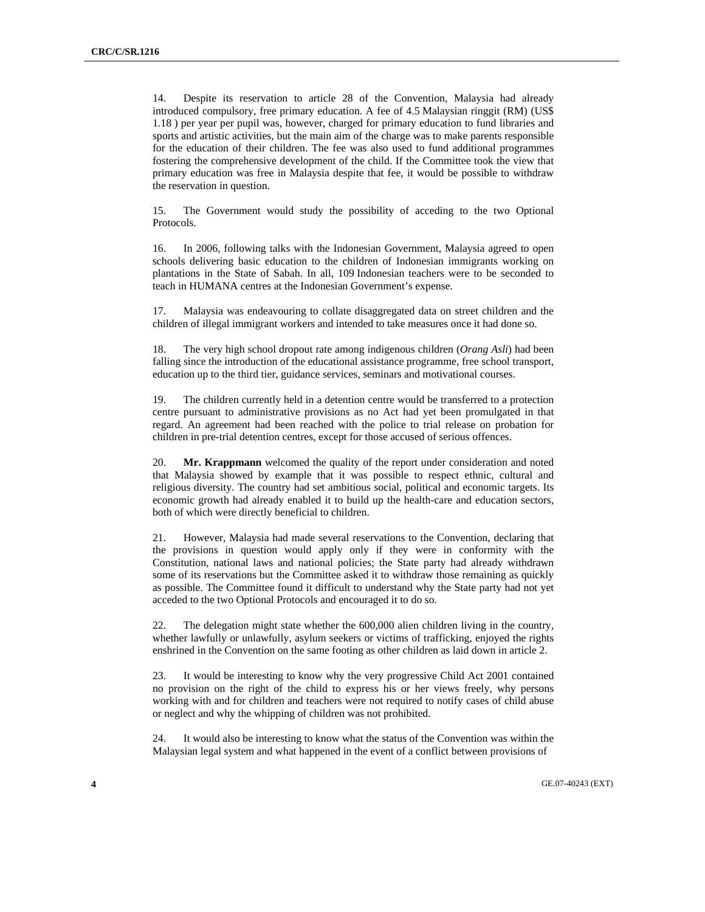14. Despite its reservation to article 28 of the Convention, Malaysia had already introduced compulsory, free primary education. A fee of 4.5 Malaysian ringgit (RM) (US\$ 1.18 ) per year per pupil was, however, charged for primary education to fund libraries and sports and artistic activities, but the main aim of the charge was to make parents responsible for the education of their children. The fee was also used to fund additional programmes fostering the comprehensive development of the child. If the Committee took the view that primary education was free in Malaysia despite that fee, it would be possible to withdraw the reservation in question.

15. The Government would study the possibility of acceding to the two Optional Protocols.

16. In 2006, following talks with the Indonesian Government, Malaysia agreed to open schools delivering basic education to the children of Indonesian immigrants working on plantations in the State of Sabah. In all, 109 Indonesian teachers were to be seconded to teach in HUMANA centres at the Indonesian Government's expense.

17. Malaysia was endeavouring to collate disaggregated data on street children and the children of illegal immigrant workers and intended to take measures once it had done so.

18. The very high school dropout rate among indigenous children (*Orang Asli*) had been falling since the introduction of the educational assistance programme, free school transport, education up to the third tier, guidance services, seminars and motivational courses.

19. The children currently held in a detention centre would be transferred to a protection centre pursuant to administrative provisions as no Act had yet been promulgated in that regard. An agreement had been reached with the police to trial release on probation for children in pre-trial detention centres, except for those accused of serious offences.

20. **Mr. Krappmann** welcomed the quality of the report under consideration and noted that Malaysia showed by example that it was possible to respect ethnic, cultural and religious diversity. The country had set ambitious social, political and economic targets. Its economic growth had already enabled it to build up the health-care and education sectors, both of which were directly beneficial to children.

21. However, Malaysia had made several reservations to the Convention, declaring that the provisions in question would apply only if they were in conformity with the Constitution, national laws and national policies; the State party had already withdrawn some of its reservations but the Committee asked it to withdraw those remaining as quickly as possible. The Committee found it difficult to understand why the State party had not yet acceded to the two Optional Protocols and encouraged it to do so.

22. The delegation might state whether the 600,000 alien children living in the country, whether lawfully or unlawfully, asylum seekers or victims of trafficking, enjoyed the rights enshrined in the Convention on the same footing as other children as laid down in article 2.

23. It would be interesting to know why the very progressive Child Act 2001 contained no provision on the right of the child to express his or her views freely, why persons working with and for children and teachers were not required to notify cases of child abuse or neglect and why the whipping of children was not prohibited.

24. It would also be interesting to know what the status of the Convention was within the Malaysian legal system and what happened in the event of a conflict between provisions of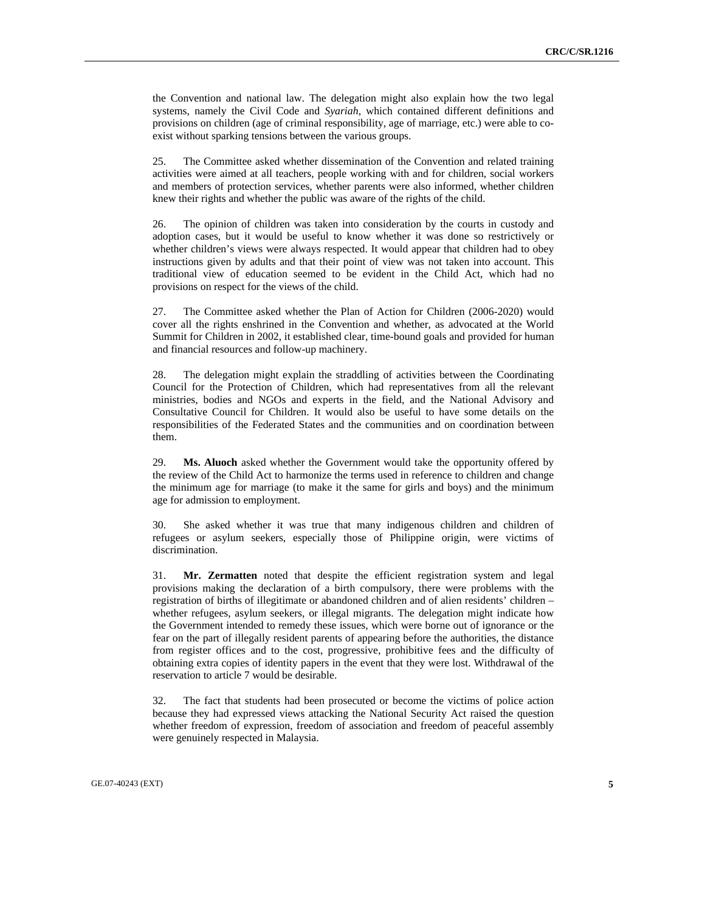the Convention and national law. The delegation might also explain how the two legal systems, namely the Civil Code and *Syariah*, which contained different definitions and provisions on children (age of criminal responsibility, age of marriage, etc.) were able to coexist without sparking tensions between the various groups.

25. The Committee asked whether dissemination of the Convention and related training activities were aimed at all teachers, people working with and for children, social workers and members of protection services, whether parents were also informed, whether children knew their rights and whether the public was aware of the rights of the child.

26. The opinion of children was taken into consideration by the courts in custody and adoption cases, but it would be useful to know whether it was done so restrictively or whether children's views were always respected. It would appear that children had to obey instructions given by adults and that their point of view was not taken into account. This traditional view of education seemed to be evident in the Child Act, which had no provisions on respect for the views of the child.

27. The Committee asked whether the Plan of Action for Children (2006-2020) would cover all the rights enshrined in the Convention and whether, as advocated at the World Summit for Children in 2002, it established clear, time-bound goals and provided for human and financial resources and follow-up machinery.

28. The delegation might explain the straddling of activities between the Coordinating Council for the Protection of Children, which had representatives from all the relevant ministries, bodies and NGOs and experts in the field, and the National Advisory and Consultative Council for Children. It would also be useful to have some details on the responsibilities of the Federated States and the communities and on coordination between them.

29. **Ms. Aluoch** asked whether the Government would take the opportunity offered by the review of the Child Act to harmonize the terms used in reference to children and change the minimum age for marriage (to make it the same for girls and boys) and the minimum age for admission to employment.

30. She asked whether it was true that many indigenous children and children of refugees or asylum seekers, especially those of Philippine origin, were victims of discrimination.

31. **Mr. Zermatten** noted that despite the efficient registration system and legal provisions making the declaration of a birth compulsory, there were problems with the registration of births of illegitimate or abandoned children and of alien residents' children – whether refugees, asylum seekers, or illegal migrants. The delegation might indicate how the Government intended to remedy these issues, which were borne out of ignorance or the fear on the part of illegally resident parents of appearing before the authorities, the distance from register offices and to the cost, progressive, prohibitive fees and the difficulty of obtaining extra copies of identity papers in the event that they were lost. Withdrawal of the reservation to article 7 would be desirable.

32. The fact that students had been prosecuted or become the victims of police action because they had expressed views attacking the National Security Act raised the question whether freedom of expression, freedom of association and freedom of peaceful assembly were genuinely respected in Malaysia.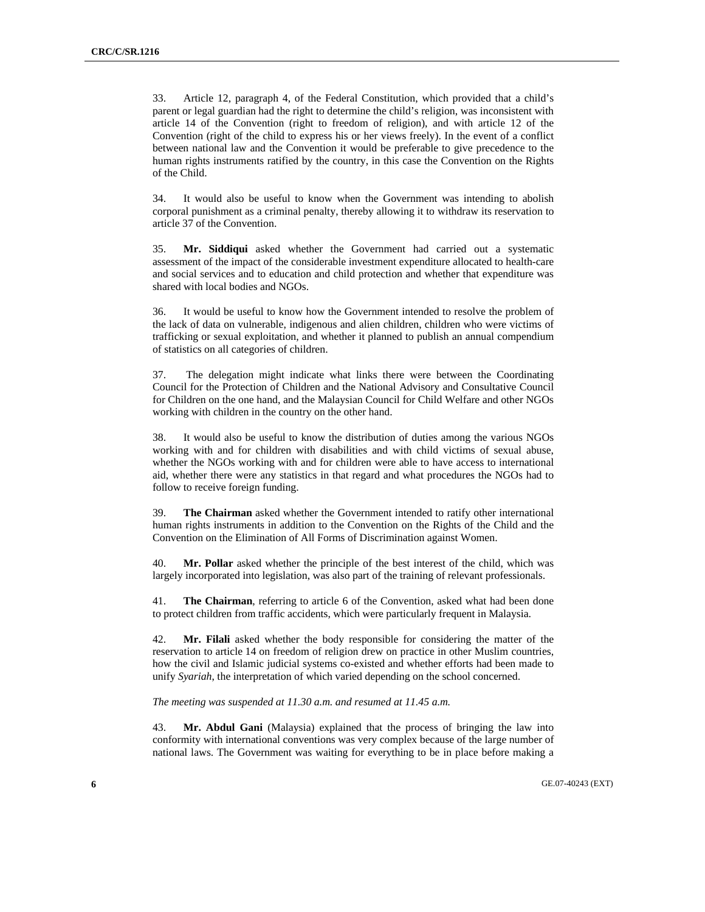33. Article 12, paragraph 4, of the Federal Constitution, which provided that a child's parent or legal guardian had the right to determine the child's religion, was inconsistent with article 14 of the Convention (right to freedom of religion), and with article 12 of the Convention (right of the child to express his or her views freely). In the event of a conflict between national law and the Convention it would be preferable to give precedence to the human rights instruments ratified by the country, in this case the Convention on the Rights of the Child.

34. It would also be useful to know when the Government was intending to abolish corporal punishment as a criminal penalty, thereby allowing it to withdraw its reservation to article 37 of the Convention.

35. **Mr. Siddiqui** asked whether the Government had carried out a systematic assessment of the impact of the considerable investment expenditure allocated to health-care and social services and to education and child protection and whether that expenditure was shared with local bodies and NGOs.

36. It would be useful to know how the Government intended to resolve the problem of the lack of data on vulnerable, indigenous and alien children, children who were victims of trafficking or sexual exploitation, and whether it planned to publish an annual compendium of statistics on all categories of children.

37. The delegation might indicate what links there were between the Coordinating Council for the Protection of Children and the National Advisory and Consultative Council for Children on the one hand, and the Malaysian Council for Child Welfare and other NGOs working with children in the country on the other hand.

38. It would also be useful to know the distribution of duties among the various NGOs working with and for children with disabilities and with child victims of sexual abuse, whether the NGOs working with and for children were able to have access to international aid, whether there were any statistics in that regard and what procedures the NGOs had to follow to receive foreign funding.

39. **The Chairman** asked whether the Government intended to ratify other international human rights instruments in addition to the Convention on the Rights of the Child and the Convention on the Elimination of All Forms of Discrimination against Women.

40. **Mr. Pollar** asked whether the principle of the best interest of the child, which was largely incorporated into legislation, was also part of the training of relevant professionals.

41. **The Chairman**, referring to article 6 of the Convention, asked what had been done to protect children from traffic accidents, which were particularly frequent in Malaysia.

42. **Mr. Filali** asked whether the body responsible for considering the matter of the reservation to article 14 on freedom of religion drew on practice in other Muslim countries, how the civil and Islamic judicial systems co-existed and whether efforts had been made to unify *Syariah*, the interpretation of which varied depending on the school concerned.

*The meeting was suspended at 11.30 a.m. and resumed at 11.45 a.m.*

43. **Mr. Abdul Gani** (Malaysia) explained that the process of bringing the law into conformity with international conventions was very complex because of the large number of national laws. The Government was waiting for everything to be in place before making a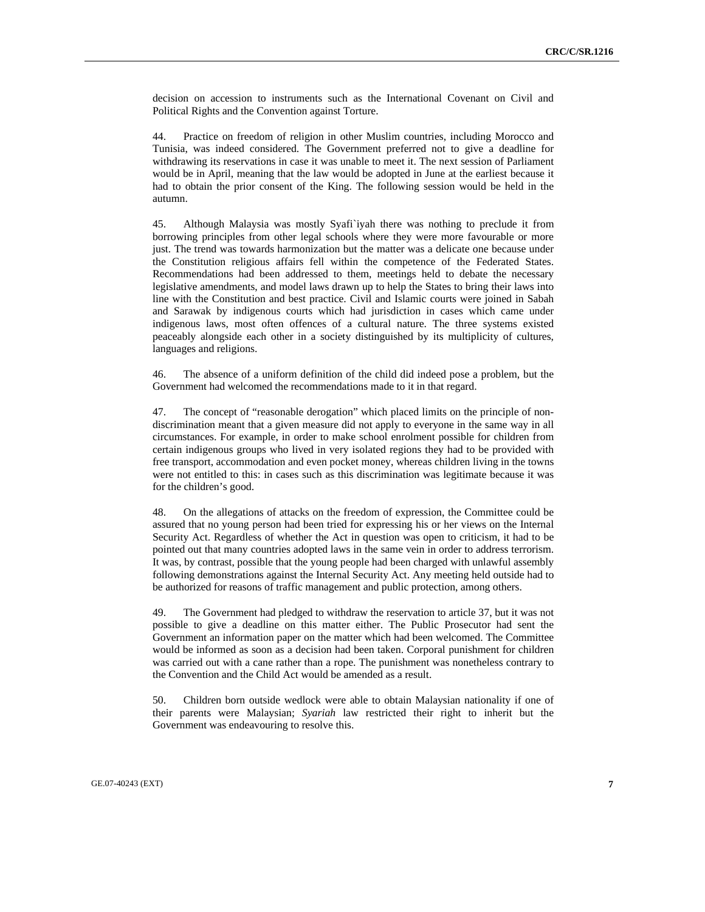decision on accession to instruments such as the International Covenant on Civil and Political Rights and the Convention against Torture.

44. Practice on freedom of religion in other Muslim countries, including Morocco and Tunisia, was indeed considered. The Government preferred not to give a deadline for withdrawing its reservations in case it was unable to meet it. The next session of Parliament would be in April, meaning that the law would be adopted in June at the earliest because it had to obtain the prior consent of the King. The following session would be held in the autumn.

45. Although Malaysia was mostly Syafi`iyah there was nothing to preclude it from borrowing principles from other legal schools where they were more favourable or more just. The trend was towards harmonization but the matter was a delicate one because under the Constitution religious affairs fell within the competence of the Federated States. Recommendations had been addressed to them, meetings held to debate the necessary legislative amendments, and model laws drawn up to help the States to bring their laws into line with the Constitution and best practice. Civil and Islamic courts were joined in Sabah and Sarawak by indigenous courts which had jurisdiction in cases which came under indigenous laws, most often offences of a cultural nature. The three systems existed peaceably alongside each other in a society distinguished by its multiplicity of cultures, languages and religions.

46. The absence of a uniform definition of the child did indeed pose a problem, but the Government had welcomed the recommendations made to it in that regard.

47. The concept of "reasonable derogation" which placed limits on the principle of nondiscrimination meant that a given measure did not apply to everyone in the same way in all circumstances. For example, in order to make school enrolment possible for children from certain indigenous groups who lived in very isolated regions they had to be provided with free transport, accommodation and even pocket money, whereas children living in the towns were not entitled to this: in cases such as this discrimination was legitimate because it was for the children's good.

48. On the allegations of attacks on the freedom of expression, the Committee could be assured that no young person had been tried for expressing his or her views on the Internal Security Act. Regardless of whether the Act in question was open to criticism, it had to be pointed out that many countries adopted laws in the same vein in order to address terrorism. It was, by contrast, possible that the young people had been charged with unlawful assembly following demonstrations against the Internal Security Act. Any meeting held outside had to be authorized for reasons of traffic management and public protection, among others.

49. The Government had pledged to withdraw the reservation to article 37, but it was not possible to give a deadline on this matter either. The Public Prosecutor had sent the Government an information paper on the matter which had been welcomed. The Committee would be informed as soon as a decision had been taken. Corporal punishment for children was carried out with a cane rather than a rope. The punishment was nonetheless contrary to the Convention and the Child Act would be amended as a result.

50. Children born outside wedlock were able to obtain Malaysian nationality if one of their parents were Malaysian; *Syariah* law restricted their right to inherit but the Government was endeavouring to resolve this.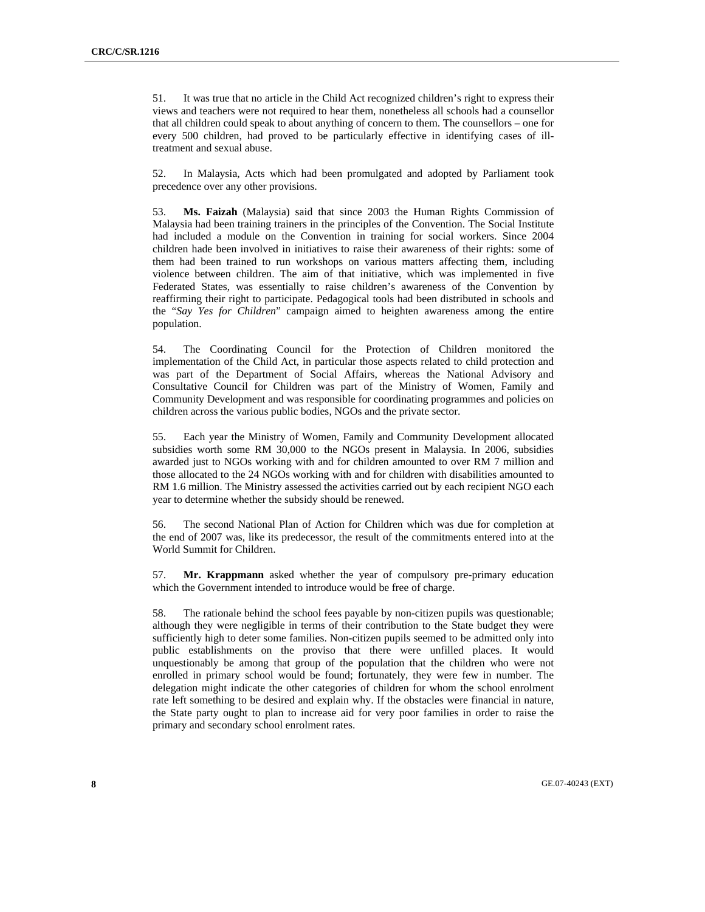51. It was true that no article in the Child Act recognized children's right to express their views and teachers were not required to hear them, nonetheless all schools had a counsellor that all children could speak to about anything of concern to them. The counsellors – one for every 500 children, had proved to be particularly effective in identifying cases of illtreatment and sexual abuse.

52. In Malaysia, Acts which had been promulgated and adopted by Parliament took precedence over any other provisions.

53. **Ms. Faizah** (Malaysia) said that since 2003 the Human Rights Commission of Malaysia had been training trainers in the principles of the Convention. The Social Institute had included a module on the Convention in training for social workers. Since 2004 children hade been involved in initiatives to raise their awareness of their rights: some of them had been trained to run workshops on various matters affecting them, including violence between children. The aim of that initiative, which was implemented in five Federated States, was essentially to raise children's awareness of the Convention by reaffirming their right to participate. Pedagogical tools had been distributed in schools and the "*Say Yes for Children*" campaign aimed to heighten awareness among the entire population.

54. The Coordinating Council for the Protection of Children monitored the implementation of the Child Act, in particular those aspects related to child protection and was part of the Department of Social Affairs, whereas the National Advisory and Consultative Council for Children was part of the Ministry of Women, Family and Community Development and was responsible for coordinating programmes and policies on children across the various public bodies, NGOs and the private sector.

55. Each year the Ministry of Women, Family and Community Development allocated subsidies worth some RM 30,000 to the NGOs present in Malaysia. In 2006, subsidies awarded just to NGOs working with and for children amounted to over RM 7 million and those allocated to the 24 NGOs working with and for children with disabilities amounted to RM 1.6 million. The Ministry assessed the activities carried out by each recipient NGO each year to determine whether the subsidy should be renewed.

56. The second National Plan of Action for Children which was due for completion at the end of 2007 was, like its predecessor, the result of the commitments entered into at the World Summit for Children.

57. **Mr. Krappmann** asked whether the year of compulsory pre-primary education which the Government intended to introduce would be free of charge.

58. The rationale behind the school fees payable by non-citizen pupils was questionable; although they were negligible in terms of their contribution to the State budget they were sufficiently high to deter some families. Non-citizen pupils seemed to be admitted only into public establishments on the proviso that there were unfilled places. It would unquestionably be among that group of the population that the children who were not enrolled in primary school would be found; fortunately, they were few in number. The delegation might indicate the other categories of children for whom the school enrolment rate left something to be desired and explain why. If the obstacles were financial in nature, the State party ought to plan to increase aid for very poor families in order to raise the primary and secondary school enrolment rates.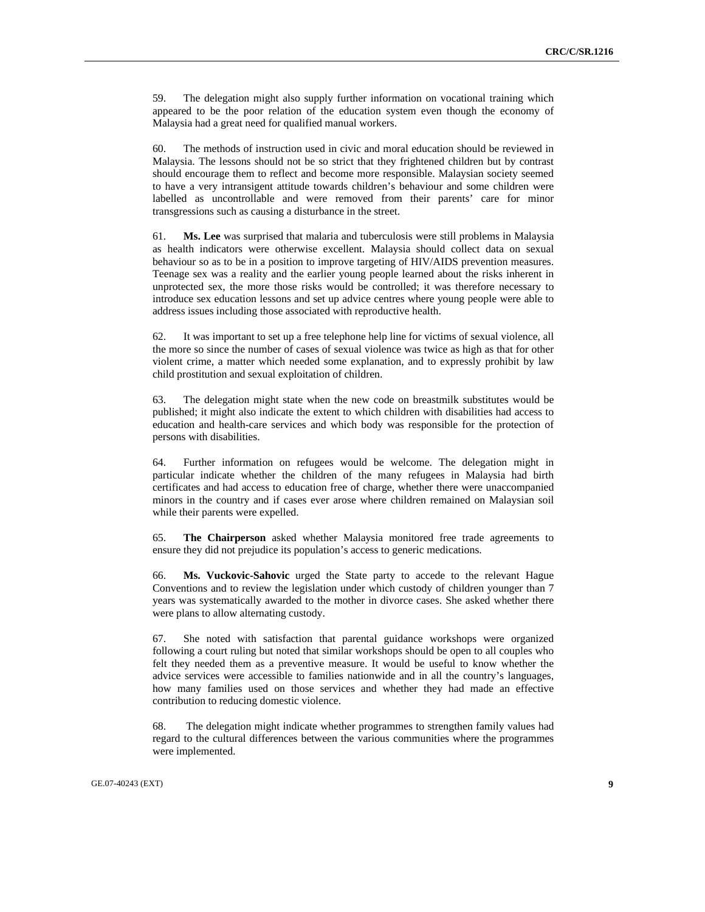59. The delegation might also supply further information on vocational training which appeared to be the poor relation of the education system even though the economy of Malaysia had a great need for qualified manual workers.

60. The methods of instruction used in civic and moral education should be reviewed in Malaysia. The lessons should not be so strict that they frightened children but by contrast should encourage them to reflect and become more responsible. Malaysian society seemed to have a very intransigent attitude towards children's behaviour and some children were labelled as uncontrollable and were removed from their parents' care for minor transgressions such as causing a disturbance in the street.

61. **Ms. Lee** was surprised that malaria and tuberculosis were still problems in Malaysia as health indicators were otherwise excellent. Malaysia should collect data on sexual behaviour so as to be in a position to improve targeting of HIV/AIDS prevention measures. Teenage sex was a reality and the earlier young people learned about the risks inherent in unprotected sex, the more those risks would be controlled; it was therefore necessary to introduce sex education lessons and set up advice centres where young people were able to address issues including those associated with reproductive health.

62. It was important to set up a free telephone help line for victims of sexual violence, all the more so since the number of cases of sexual violence was twice as high as that for other violent crime, a matter which needed some explanation, and to expressly prohibit by law child prostitution and sexual exploitation of children.

63. The delegation might state when the new code on breastmilk substitutes would be published; it might also indicate the extent to which children with disabilities had access to education and health-care services and which body was responsible for the protection of persons with disabilities.

64. Further information on refugees would be welcome. The delegation might in particular indicate whether the children of the many refugees in Malaysia had birth certificates and had access to education free of charge, whether there were unaccompanied minors in the country and if cases ever arose where children remained on Malaysian soil while their parents were expelled.

65. **The Chairperson** asked whether Malaysia monitored free trade agreements to ensure they did not prejudice its population's access to generic medications.

66. **Ms. Vuckovic-Sahovic** urged the State party to accede to the relevant Hague Conventions and to review the legislation under which custody of children younger than 7 years was systematically awarded to the mother in divorce cases. She asked whether there were plans to allow alternating custody.

67. She noted with satisfaction that parental guidance workshops were organized following a court ruling but noted that similar workshops should be open to all couples who felt they needed them as a preventive measure. It would be useful to know whether the advice services were accessible to families nationwide and in all the country's languages, how many families used on those services and whether they had made an effective contribution to reducing domestic violence.

68. The delegation might indicate whether programmes to strengthen family values had regard to the cultural differences between the various communities where the programmes were implemented.